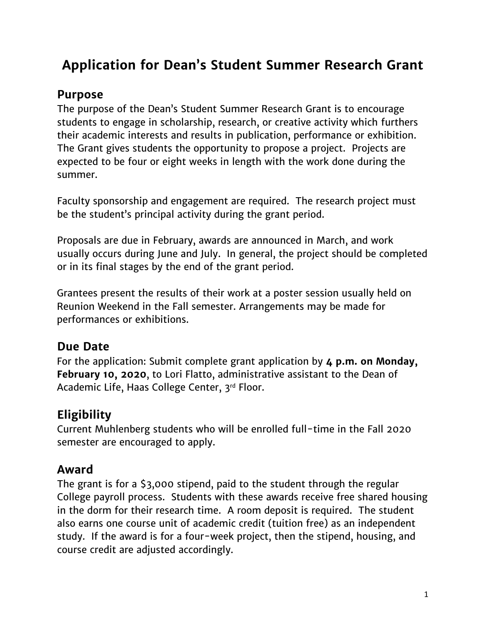# **Application for Dean's Student Summer Research Grant**

#### **Purpose**

The purpose of the Dean's Student Summer Research Grant is to encourage students to engage in scholarship, research, or creative activity which furthers their academic interests and results in publication, performance or exhibition. The Grant gives students the opportunity to propose a project. Projects are expected to be four or eight weeks in length with the work done during the summer.

Faculty sponsorship and engagement are required. The research project must be the student's principal activity during the grant period.

Proposals are due in February, awards are announced in March, and work usually occurs during June and July. In general, the project should be completed or in its final stages by the end of the grant period.

Grantees present the results of their work at a poster session usually held on Reunion Weekend in the Fall semester. Arrangements may be made for performances or exhibitions.

#### **Due Date**

For the application: Submit complete grant application by **4 p.m. on Monday, February 10, 2020**, to Lori Flatto, administrative assistant to the Dean of Academic Life, Haas College Center, 3rd Floor.

## **Eligibility**

Current Muhlenberg students who will be enrolled full-time in the Fall 2020 semester are encouraged to apply.

#### **Award**

The grant is for a \$3,000 stipend, paid to the student through the regular College payroll process. Students with these awards receive free shared housing in the dorm for their research time. A room deposit is required. The student also earns one course unit of academic credit (tuition free) as an independent study. If the award is for a four-week project, then the stipend, housing, and course credit are adjusted accordingly.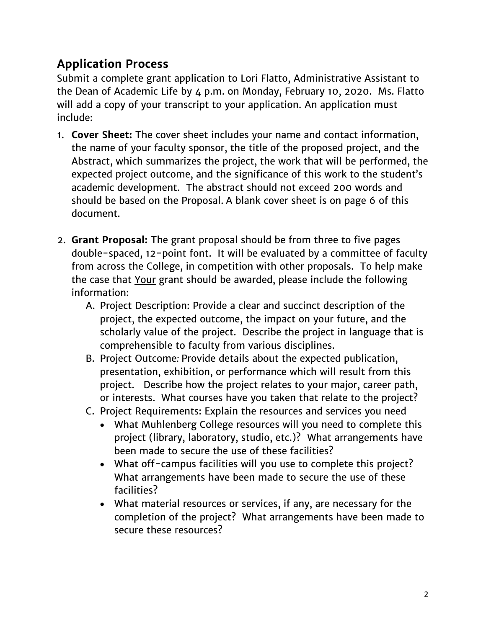### **Application Process**

Submit a complete grant application to Lori Flatto, Administrative Assistant to the Dean of Academic Life by 4 p.m. on Monday, February 10, 2020. Ms. Flatto will add a copy of your transcript to your application. An application must include:

- 1. **Cover Sheet:** The cover sheet includes your name and contact information, the name of your faculty sponsor, the title of the proposed project, and the Abstract, which summarizes the project, the work that will be performed, the expected project outcome, and the significance of this work to the student's academic development. The abstract should not exceed 200 words and should be based on the Proposal. A blank cover sheet is on page 6 of this document.
- 2. **Grant Proposal:** The grant proposal should be from three to five pages double-spaced, 12-point font. It will be evaluated by a committee of faculty from across the College, in competition with other proposals. To help make the case that Your grant should be awarded, please include the following information:
	- A. Project Description: Provide a clear and succinct description of the project, the expected outcome, the impact on your future, and the scholarly value of the project. Describe the project in language that is comprehensible to faculty from various disciplines.
	- B. Project Outcome*:* Provide details about the expected publication, presentation, exhibition, or performance which will result from this project. Describe how the project relates to your major, career path, or interests. What courses have you taken that relate to the project?
	- C. Project Requirements: Explain the resources and services you need
		- What Muhlenberg College resources will you need to complete this project (library, laboratory, studio, etc.)? What arrangements have been made to secure the use of these facilities?
		- What off-campus facilities will you use to complete this project? What arrangements have been made to secure the use of these facilities?
		- What material resources or services, if any, are necessary for the completion of the project? What arrangements have been made to secure these resources?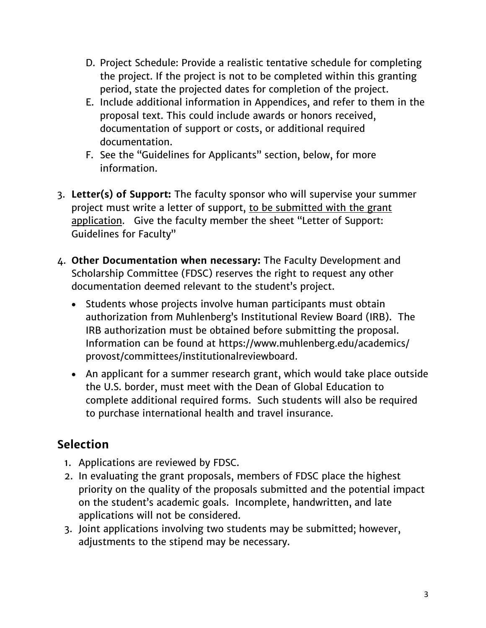- D. Project Schedule: Provide a realistic tentative schedule for completing the project. If the project is not to be completed within this granting period, state the projected dates for completion of the project.
- E. Include additional information in Appendices, and refer to them in the proposal text. This could include awards or honors received, documentation of support or costs, or additional required documentation.
- F. See the "Guidelines for Applicants" section, below, for more information.
- 3. **Letter(s) of Support:** The faculty sponsor who will supervise your summer project must write a letter of support, to be submitted with the grant application. Give the faculty member the sheet "Letter of Support: Guidelines for Faculty"
- 4. **Other Documentation when necessary:** The Faculty Development and Scholarship Committee (FDSC) reserves the right to request any other documentation deemed relevant to the student's project.
	- Students whose projects involve human participants must obtain authorization from Muhlenberg's Institutional Review Board (IRB). The IRB authorization must be obtained before submitting the proposal. Information can be found at [https://www.muhlenberg.edu/academics/](https://www.muhlenberg.edu/academics/%20provost/committees/institutionalreviewboard) [provost/committees/institutionalreviewboard.](https://www.muhlenberg.edu/academics/%20provost/committees/institutionalreviewboard)
	- An applicant for a summer research grant, which would take place outside the U.S. border, must meet with the Dean of Global Education to complete additional required forms. Such students will also be required to purchase international health and travel insurance.

### **Selection**

- 1. Applications are reviewed by FDSC.
- 2. In evaluating the grant proposals, members of FDSC place the highest priority on the quality of the proposals submitted and the potential impact on the student's academic goals. Incomplete, handwritten, and late applications will not be considered.
- 3. Joint applications involving two students may be submitted; however, adjustments to the stipend may be necessary.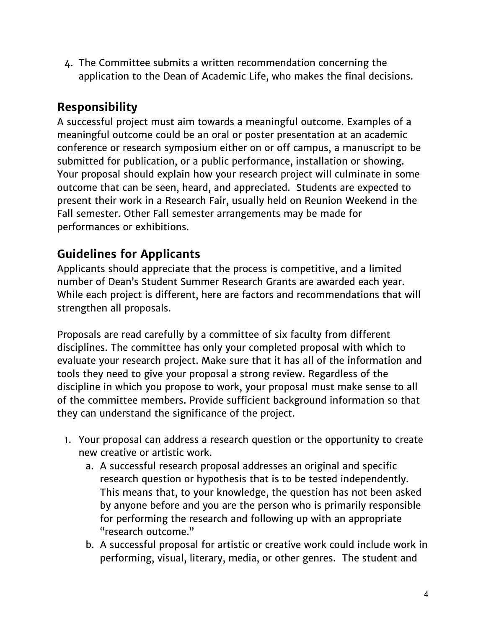4. The Committee submits a written recommendation concerning the application to the Dean of Academic Life, who makes the final decisions.

### **Responsibility**

A successful project must aim towards a meaningful outcome. Examples of a meaningful outcome could be an oral or poster presentation at an academic conference or research symposium either on or off campus, a manuscript to be submitted for publication, or a public performance, installation or showing. Your proposal should explain how your research project will culminate in some outcome that can be seen, heard, and appreciated. Students are expected to present their work in a Research Fair, usually held on Reunion Weekend in the Fall semester. Other Fall semester arrangements may be made for performances or exhibitions.

### **Guidelines for Applicants**

Applicants should appreciate that the process is competitive, and a limited number of Dean's Student Summer Research Grants are awarded each year. While each project is different, here are factors and recommendations that will strengthen all proposals.

Proposals are read carefully by a committee of six faculty from different disciplines. The committee has only your completed proposal with which to evaluate your research project. Make sure that it has all of the information and tools they need to give your proposal a strong review. Regardless of the discipline in which you propose to work, your proposal must make sense to all of the committee members. Provide sufficient background information so that they can understand the significance of the project.

- 1. Your proposal can address a research question or the opportunity to create new creative or artistic work.
	- a. A successful research proposal addresses an original and specific research question or hypothesis that is to be tested independently. This means that, to your knowledge, the question has not been asked by anyone before and you are the person who is primarily responsible for performing the research and following up with an appropriate "research outcome."
	- b. A successful proposal for artistic or creative work could include work in performing, visual, literary, media, or other genres. The student and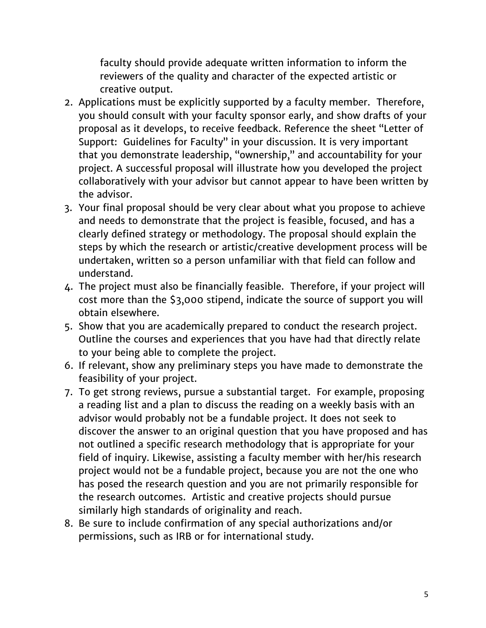faculty should provide adequate written information to inform the reviewers of the quality and character of the expected artistic or creative output.

- 2. Applications must be explicitly supported by a faculty member. Therefore, you should consult with your faculty sponsor early, and show drafts of your proposal as it develops, to receive feedback. Reference the sheet "Letter of Support: Guidelines for Faculty" in your discussion. It is very important that you demonstrate leadership, "ownership," and accountability for your project. A successful proposal will illustrate how you developed the project collaboratively with your advisor but cannot appear to have been written by the advisor.
- 3. Your final proposal should be very clear about what you propose to achieve and needs to demonstrate that the project is feasible, focused, and has a clearly defined strategy or methodology. The proposal should explain the steps by which the research or artistic/creative development process will be undertaken, written so a person unfamiliar with that field can follow and understand.
- 4. The project must also be financially feasible. Therefore, if your project will cost more than the \$3,000 stipend, indicate the source of support you will obtain elsewhere.
- 5. Show that you are academically prepared to conduct the research project. Outline the courses and experiences that you have had that directly relate to your being able to complete the project.
- 6. If relevant, show any preliminary steps you have made to demonstrate the feasibility of your project.
- 7. To get strong reviews, pursue a substantial target. For example, proposing a reading list and a plan to discuss the reading on a weekly basis with an advisor would probably not be a fundable project. It does not seek to discover the answer to an original question that you have proposed and has not outlined a specific research methodology that is appropriate for your field of inquiry. Likewise, assisting a faculty member with her/his research project would not be a fundable project, because you are not the one who has posed the research question and you are not primarily responsible for the research outcomes. Artistic and creative projects should pursue similarly high standards of originality and reach.
- 8. Be sure to include confirmation of any special authorizations and/or permissions, such as IRB or for international study.